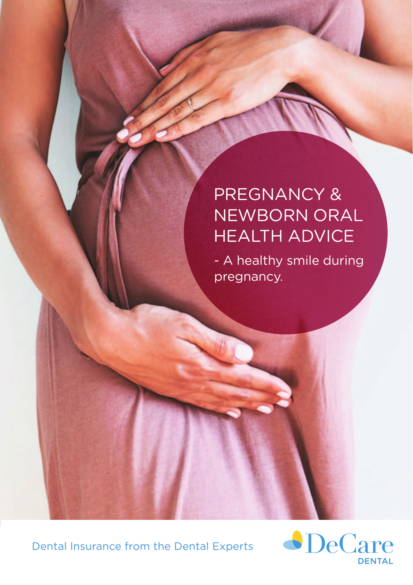# PREGNANCY & NEWBORN ORAL HEALTH ADVICE

- A healthy smile during pregnancy.

Dental Insurance from the Dental Experts

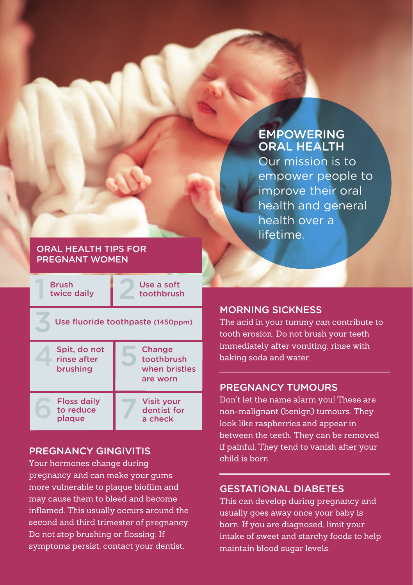## EMPOWERING ORAL HEALTH

Our mission is to empower people to improve their oral health and general health over a lifetime.

#### ORAL HEALTH TIPS FOR PREGNANT WOMEN

Push twice daily 2 Brush

Use a soft toothbrush

| Use fluoride toothpaste (1450ppm)       |                                                   |
|-----------------------------------------|---------------------------------------------------|
| Spit, do not<br>rinse after<br>brushing | Change<br>toothbrush<br>when bristles<br>are worn |
| Floss daily<br>to reduce<br>plaque      | <b>Visit your</b><br>dentist for<br>a check       |

## PREGNANCY GINGIVITIS

Your hormones change during pregnancy and can make your gums more vulnerable to plaque biofilm and may cause them to bleed and become inflamed. This usually occurs around the second and third trimester of pregnancy. Do not stop brushing or flossing. If symptoms persist, contact your dentist.

### MORNING SICKNESS

The acid in your tummy can contribute to tooth erosion. Do not brush your teeth immediately after vomiting, rinse with baking soda and water.

### PREGNANCY TUMOURS

Don't let the name alarm you! These are non-malignant (benign) tumours. They look like raspberries and appear in between the teeth. They can be removed if painful. They tend to vanish after your child is born.

### GESTATIONAL DIABETES

This can develop during pregnancy and usually goes away once your baby is born. If you are diagnosed, limit your intake of sweet and starchy foods to help maintain blood sugar levels.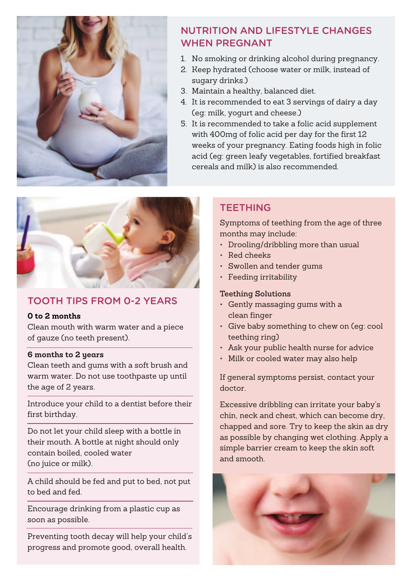

## NUTRITION AND LIFESTYLE CHANGES WHEN PREGNANT

- 1. No smoking or drinking alcohol during pregnancy.
- 2. Keep hydrated (choose water or milk, instead of sugary drinks.)
- 3. Maintain a healthy, balanced diet.
- 4. It is recommended to eat 3 servings of dairy a day (eg: milk, yogurt and cheese.)
- 5. It is recommended to take a folic acid supplement with 400mg of folic acid per day for the first 12 weeks of your pregnancy. Eating foods high in folic acid (eg: green leafy vegetables, fortified breakfast cereals and milk) is also recommended.



## TOOTH TIPS FROM 0-2 YEARS

#### **0 to 2 months**

Clean mouth with warm water and a piece of gauze (no teeth present).

#### **6 months to 2 years**

Clean teeth and gums with a soft brush and warm water. Do not use toothpaste up until the age of 2 years.

Introduce your child to a dentist before their first birthday.

Do not let your child sleep with a bottle in their mouth. A bottle at night should only contain boiled, cooled water (no juice or milk).

A child should be fed and put to bed, not put to bed and fed.

Encourage drinking from a plastic cup as soon as possible.

Preventing tooth decay will help your child's progress and promote good, overall health.

## **TEETHING**

Symptoms of teething from the age of three months may include:

- Drooling/dribbling more than usual
- Red cheeks
- Swollen and tender gums
- Feeding irritability

#### **Teething Solutions**

- Gently massaging gums with a clean finger
- Give baby something to chew on (eg: cool teething ring)
- Ask your public health nurse for advice
- Milk or cooled water may also help

If general symptoms persist, contact your doctor.

Excessive dribbling can irritate your baby's chin, neck and chest, which can become dry, chapped and sore. Try to keep the skin as dry as possible by changing wet clothing. Apply a simple barrier cream to keep the skin soft and smooth.